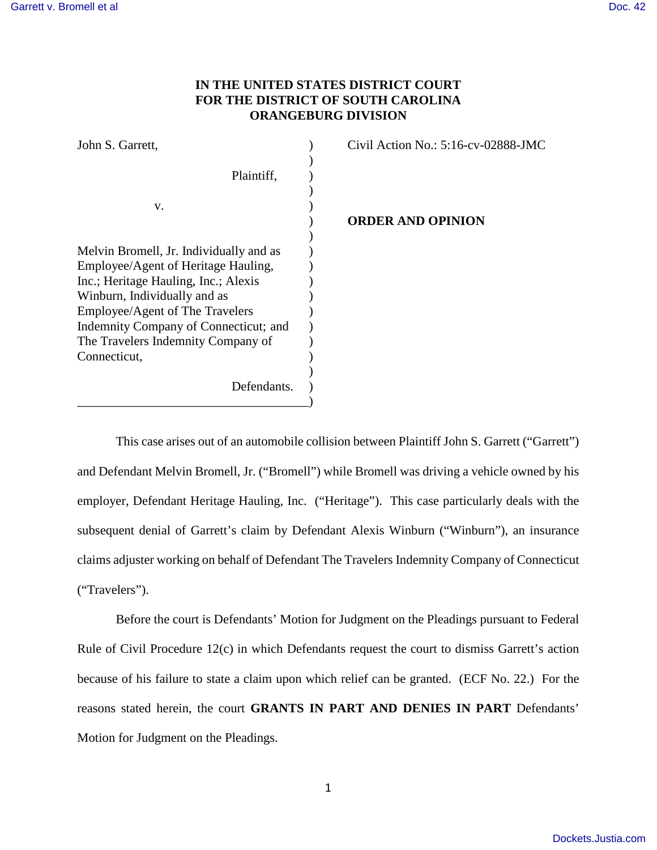# **IN THE UNITED STATES DISTRICT COURT FOR THE DISTRICT OF SOUTH CAROLINA ORANGEBURG DIVISION**

| John S. Garrett,                        | Civil Action No.: 5:16-cv-02888-JMC |
|-----------------------------------------|-------------------------------------|
|                                         |                                     |
| Plaintiff,                              |                                     |
|                                         |                                     |
| V.                                      |                                     |
|                                         | <b>ORDER AND OPINION</b>            |
|                                         |                                     |
| Melvin Bromell, Jr. Individually and as |                                     |
| Employee/Agent of Heritage Hauling,     |                                     |
| Inc.; Heritage Hauling, Inc.; Alexis    |                                     |
| Winburn, Individually and as            |                                     |
| Employee/Agent of The Travelers         |                                     |
| Indemnity Company of Connecticut; and   |                                     |
| The Travelers Indemnity Company of      |                                     |
| Connecticut,                            |                                     |
|                                         |                                     |
| Defendants.                             |                                     |
|                                         |                                     |

This case arises out of an automobile collision between Plaintiff John S. Garrett ("Garrett") and Defendant Melvin Bromell, Jr. ("Bromell") while Bromell was driving a vehicle owned by his employer, Defendant Heritage Hauling, Inc. ("Heritage"). This case particularly deals with the subsequent denial of Garrett's claim by Defendant Alexis Winburn ("Winburn"), an insurance claims adjuster working on behalf of Defendant The Travelers Indemnity Company of Connecticut ("Travelers").

 Before the court is Defendants' Motion for Judgment on the Pleadings pursuant to Federal Rule of Civil Procedure 12(c) in which Defendants request the court to dismiss Garrett's action because of his failure to state a claim upon which relief can be granted. (ECF No. 22.) For the reasons stated herein, the court **GRANTS IN PART AND DENIES IN PART** Defendants' Motion for Judgment on the Pleadings.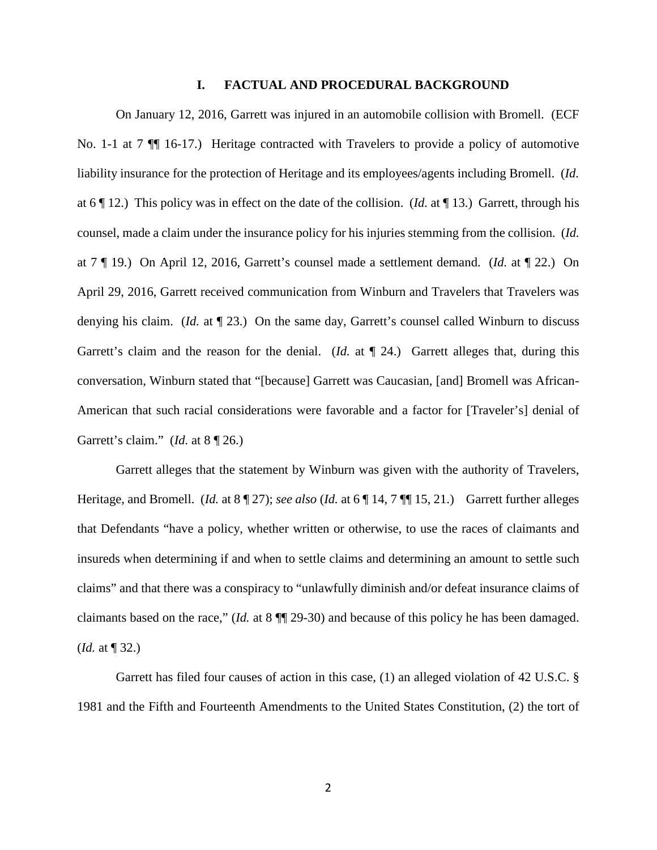#### **I. FACTUAL AND PROCEDURAL BACKGROUND**

On January 12, 2016, Garrett was injured in an automobile collision with Bromell. (ECF No. 1-1 at 7 ¶¶ 16-17.) Heritage contracted with Travelers to provide a policy of automotive liability insurance for the protection of Heritage and its employees/agents including Bromell. (*Id.* at 6 ¶ 12.) This policy was in effect on the date of the collision. (*Id.* at ¶ 13.) Garrett, through his counsel, made a claim under the insurance policy for his injuries stemming from the collision. (*Id.*  at 7 ¶ 19.) On April 12, 2016, Garrett's counsel made a settlement demand. (*Id.* at ¶ 22.) On April 29, 2016, Garrett received communication from Winburn and Travelers that Travelers was denying his claim. (*Id.* at ¶ 23.) On the same day, Garrett's counsel called Winburn to discuss Garrett's claim and the reason for the denial. (*Id.* at  $\P$  24.) Garrett alleges that, during this conversation, Winburn stated that "[because] Garrett was Caucasian, [and] Bromell was African-American that such racial considerations were favorable and a factor for [Traveler's] denial of Garrett's claim." (*Id.* at 8 ¶ 26.)

Garrett alleges that the statement by Winburn was given with the authority of Travelers, Heritage, and Bromell. (*Id.* at 8 ¶ 27); *see also* (*Id.* at 6 ¶ 14, 7 ¶¶ 15, 21.) Garrett further alleges that Defendants "have a policy, whether written or otherwise, to use the races of claimants and insureds when determining if and when to settle claims and determining an amount to settle such claims" and that there was a conspiracy to "unlawfully diminish and/or defeat insurance claims of claimants based on the race," (*Id.* at 8 ¶¶ 29-30) and because of this policy he has been damaged. (*Id.* at ¶ 32.)

Garrett has filed four causes of action in this case, (1) an alleged violation of 42 U.S.C. § 1981 and the Fifth and Fourteenth Amendments to the United States Constitution, (2) the tort of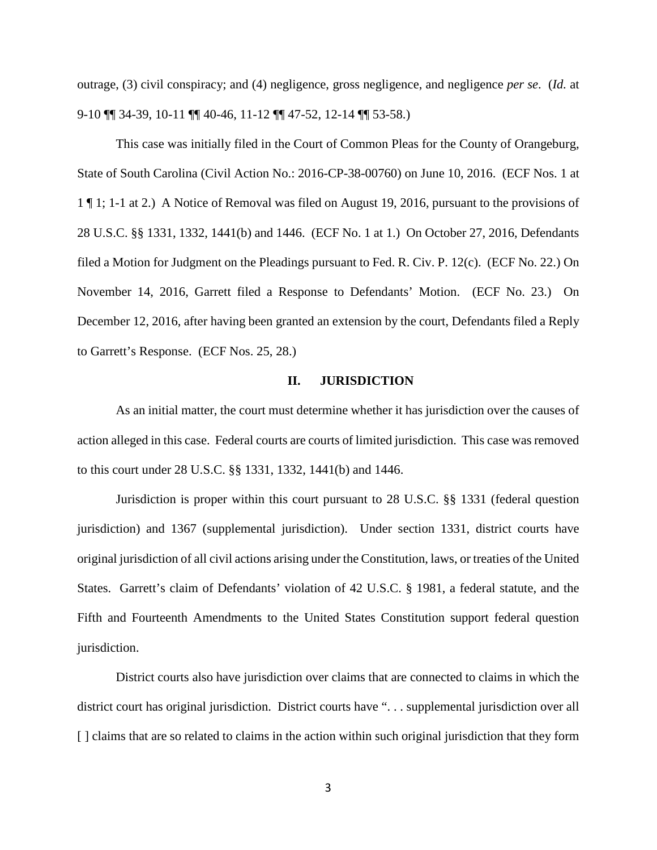outrage, (3) civil conspiracy; and (4) negligence, gross negligence, and negligence *per se*. (*Id.* at 9-10 ¶¶ 34-39, 10-11 ¶¶ 40-46, 11-12 ¶¶ 47-52, 12-14 ¶¶ 53-58.)

This case was initially filed in the Court of Common Pleas for the County of Orangeburg, State of South Carolina (Civil Action No.: 2016-CP-38-00760) on June 10, 2016. (ECF Nos. 1 at 1 ¶ 1; 1-1 at 2.) A Notice of Removal was filed on August 19, 2016, pursuant to the provisions of 28 U.S.C. §§ 1331, 1332, 1441(b) and 1446. (ECF No. 1 at 1.) On October 27, 2016, Defendants filed a Motion for Judgment on the Pleadings pursuant to Fed. R. Civ. P. 12(c). (ECF No. 22.) On November 14, 2016, Garrett filed a Response to Defendants' Motion. (ECF No. 23.) On December 12, 2016, after having been granted an extension by the court, Defendants filed a Reply to Garrett's Response. (ECF Nos. 25, 28.)

### **II. JURISDICTION**

As an initial matter, the court must determine whether it has jurisdiction over the causes of action alleged in this case. Federal courts are courts of limited jurisdiction. This case was removed to this court under 28 U.S.C. §§ 1331, 1332, 1441(b) and 1446.

Jurisdiction is proper within this court pursuant to 28 U.S.C. §§ 1331 (federal question jurisdiction) and 1367 (supplemental jurisdiction). Under section 1331, district courts have original jurisdiction of all civil actions arising under the Constitution, laws, or treaties of the United States. Garrett's claim of Defendants' violation of 42 U.S.C. § 1981, a federal statute, and the Fifth and Fourteenth Amendments to the United States Constitution support federal question jurisdiction.

District courts also have jurisdiction over claims that are connected to claims in which the district court has original jurisdiction. District courts have ". . . supplemental jurisdiction over all [ ] claims that are so related to claims in the action within such original jurisdiction that they form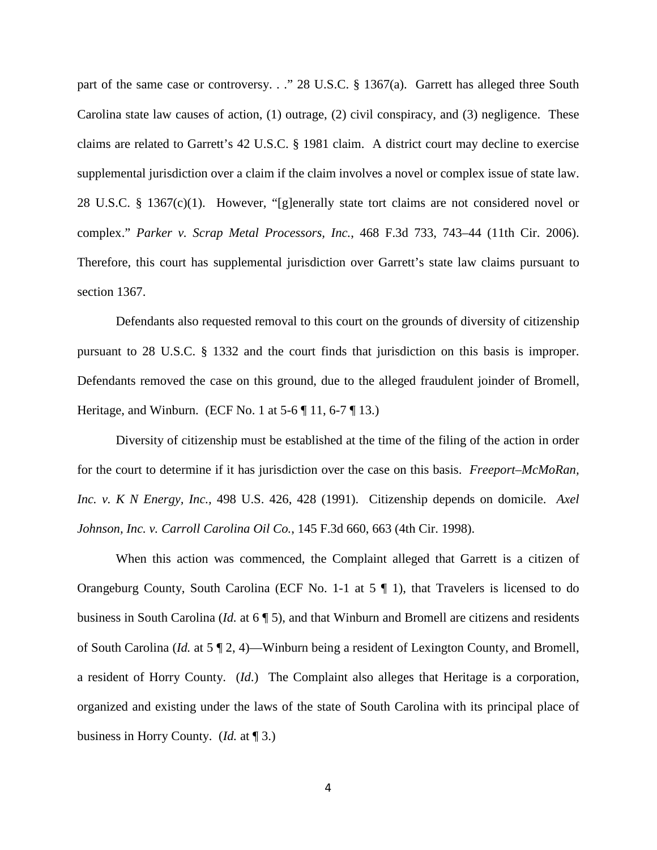part of the same case or controversy. . ." 28 U.S.C. § 1367(a). Garrett has alleged three South Carolina state law causes of action, (1) outrage, (2) civil conspiracy, and (3) negligence. These claims are related to Garrett's 42 U.S.C. § 1981 claim. A district court may decline to exercise supplemental jurisdiction over a claim if the claim involves a novel or complex issue of state law. 28 U.S.C. § 1367(c)(1). However, "[g]enerally state tort claims are not considered novel or complex." *Parker v. Scrap Metal Processors, Inc.*, 468 F.3d 733, 743–44 (11th Cir. 2006). Therefore, this court has supplemental jurisdiction over Garrett's state law claims pursuant to section 1367.

Defendants also requested removal to this court on the grounds of diversity of citizenship pursuant to 28 U.S.C. § 1332 and the court finds that jurisdiction on this basis is improper. Defendants removed the case on this ground, due to the alleged fraudulent joinder of Bromell, Heritage, and Winburn. (ECF No. 1 at  $5-6 \parallel 11, 6-7 \parallel 13$ .)

Diversity of citizenship must be established at the time of the filing of the action in order for the court to determine if it has jurisdiction over the case on this basis. *Freeport–McMoRan, Inc. v. K N Energy, Inc.,* 498 U.S. 426, 428 (1991). Citizenship depends on domicile. *Axel Johnson, Inc. v. Carroll Carolina Oil Co.*, 145 F.3d 660, 663 (4th Cir. 1998).

When this action was commenced, the Complaint alleged that Garrett is a citizen of Orangeburg County, South Carolina (ECF No. 1-1 at 5 ¶ 1), that Travelers is licensed to do business in South Carolina (*Id.* at 6 ¶ 5), and that Winburn and Bromell are citizens and residents of South Carolina (*Id.* at 5 ¶ 2, 4)—Winburn being a resident of Lexington County, and Bromell, a resident of Horry County. (*Id*.) The Complaint also alleges that Heritage is a corporation, organized and existing under the laws of the state of South Carolina with its principal place of business in Horry County. (*Id.* at ¶ 3.)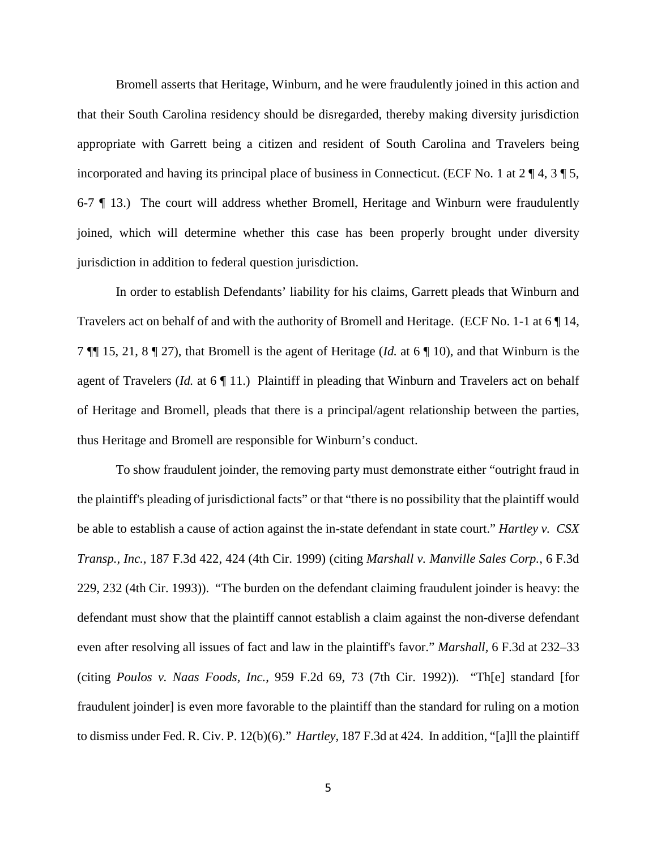Bromell asserts that Heritage, Winburn, and he were fraudulently joined in this action and that their South Carolina residency should be disregarded, thereby making diversity jurisdiction appropriate with Garrett being a citizen and resident of South Carolina and Travelers being incorporated and having its principal place of business in Connecticut. (ECF No. 1 at  $2 \nparallel 4$ ,  $3 \nparallel 5$ , 6-7 ¶ 13.) The court will address whether Bromell, Heritage and Winburn were fraudulently joined, which will determine whether this case has been properly brought under diversity jurisdiction in addition to federal question jurisdiction.

In order to establish Defendants' liability for his claims, Garrett pleads that Winburn and Travelers act on behalf of and with the authority of Bromell and Heritage. (ECF No. 1-1 at 6 ¶ 14, 7 ¶¶ 15, 21, 8 ¶ 27), that Bromell is the agent of Heritage (*Id.* at 6 ¶ 10), and that Winburn is the agent of Travelers (*Id.* at 6 ¶ 11.) Plaintiff in pleading that Winburn and Travelers act on behalf of Heritage and Bromell, pleads that there is a principal/agent relationship between the parties, thus Heritage and Bromell are responsible for Winburn's conduct.

To show fraudulent joinder, the removing party must demonstrate either "outright fraud in the plaintiff's pleading of jurisdictional facts" or that "there is no possibility that the plaintiff would be able to establish a cause of action against the in-state defendant in state court." *Hartley v. CSX Transp., Inc.*, 187 F.3d 422, 424 (4th Cir. 1999) (citing *Marshall v. Manville Sales Corp.*, 6 F.3d 229, 232 (4th Cir. 1993)). "The burden on the defendant claiming fraudulent joinder is heavy: the defendant must show that the plaintiff cannot establish a claim against the non-diverse defendant even after resolving all issues of fact and law in the plaintiff's favor." *Marshall,* 6 F.3d at 232–33 (citing *Poulos v. Naas Foods, Inc.*, 959 F.2d 69, 73 (7th Cir. 1992)). "Th[e] standard [for fraudulent joinder] is even more favorable to the plaintiff than the standard for ruling on a motion to dismiss under Fed. R. Civ. P. 12(b)(6)." *Hartley*, 187 F.3d at 424. In addition, "[a]ll the plaintiff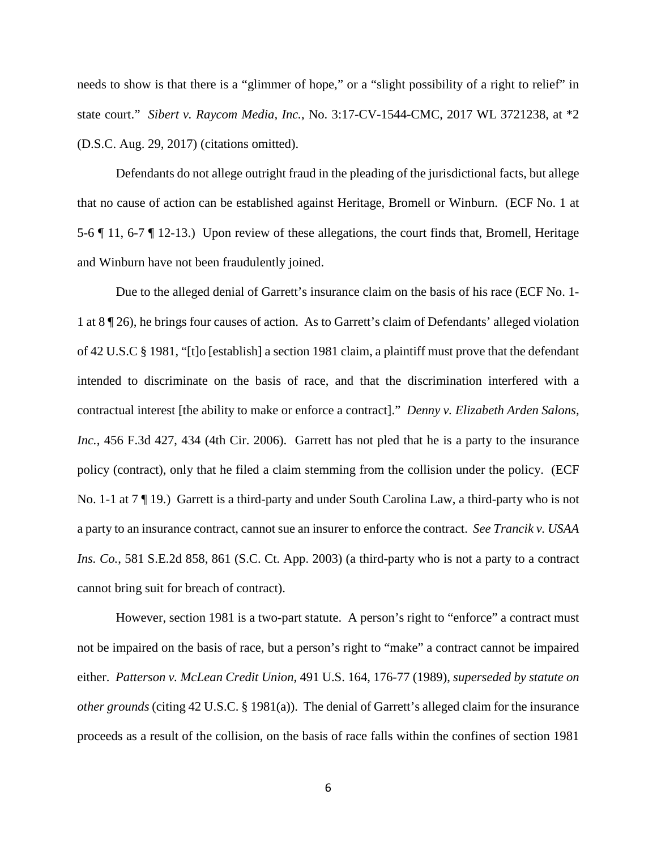needs to show is that there is a "glimmer of hope," or a "slight possibility of a right to relief" in state court." *Sibert v. Raycom Media, Inc.*, No. 3:17-CV-1544-CMC, 2017 WL 3721238, at \*2 (D.S.C. Aug. 29, 2017) (citations omitted).

Defendants do not allege outright fraud in the pleading of the jurisdictional facts, but allege that no cause of action can be established against Heritage, Bromell or Winburn. (ECF No. 1 at 5-6 ¶ 11, 6-7 ¶ 12-13.) Upon review of these allegations, the court finds that, Bromell, Heritage and Winburn have not been fraudulently joined.

 Due to the alleged denial of Garrett's insurance claim on the basis of his race (ECF No. 1- 1 at 8 ¶ 26), he brings four causes of action. As to Garrett's claim of Defendants' alleged violation of 42 U.S.C § 1981, "[t]o [establish] a section 1981 claim, a plaintiff must prove that the defendant intended to discriminate on the basis of race, and that the discrimination interfered with a contractual interest [the ability to make or enforce a contract]." *Denny v. Elizabeth Arden Salons, Inc.*, 456 F.3d 427, 434 (4th Cir. 2006). Garrett has not pled that he is a party to the insurance policy (contract), only that he filed a claim stemming from the collision under the policy. (ECF No. 1-1 at 7 ¶ 19.) Garrett is a third-party and under South Carolina Law, a third-party who is not a party to an insurance contract, cannot sue an insurer to enforce the contract. *See Trancik v. USAA Ins. Co.*, 581 S.E.2d 858, 861 (S.C. Ct. App. 2003) (a third-party who is not a party to a contract cannot bring suit for breach of contract).

However, section 1981 is a two-part statute. A person's right to "enforce" a contract must not be impaired on the basis of race, but a person's right to "make" a contract cannot be impaired either. *Patterson v. McLean Credit Union*, 491 U.S. 164, 176-77 (1989), *superseded by statute on other grounds* (citing 42 U.S.C. § 1981(a)). The denial of Garrett's alleged claim for the insurance proceeds as a result of the collision, on the basis of race falls within the confines of section 1981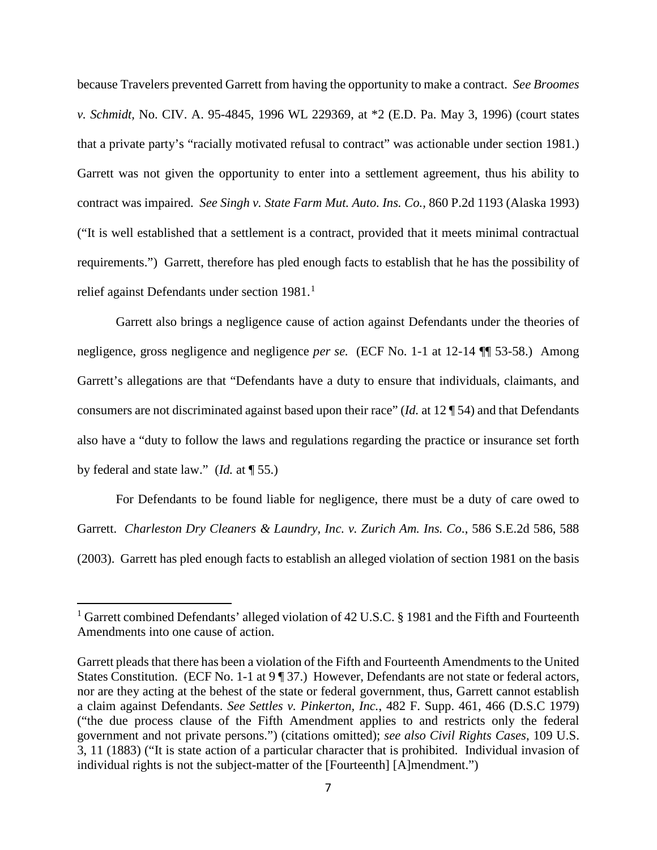because Travelers prevented Garrett from having the opportunity to make a contract. *See Broomes v. Schmidt,* No. CIV. A. 95-4845, 1996 WL 229369, at \*2 (E.D. Pa. May 3, 1996) (court states that a private party's "racially motivated refusal to contract" was actionable under section 1981.) Garrett was not given the opportunity to enter into a settlement agreement, thus his ability to contract was impaired. *See Singh v. State Farm Mut. Auto. Ins. Co.,* 860 P.2d 1193 (Alaska 1993) ("It is well established that a settlement is a contract, provided that it meets minimal contractual requirements.") Garrett, therefore has pled enough facts to establish that he has the possibility of relief against Defendants under section [1](#page-6-0)981.<sup>1</sup>

Garrett also brings a negligence cause of action against Defendants under the theories of negligence, gross negligence and negligence *per se.* (ECF No. 1-1 at 12-14 ¶¶ 53-58.) Among Garrett's allegations are that "Defendants have a duty to ensure that individuals, claimants, and consumers are not discriminated against based upon their race" (*Id.* at 12 ¶ 54) and that Defendants also have a "duty to follow the laws and regulations regarding the practice or insurance set forth by federal and state law." (*Id.* at ¶ 55.)

For Defendants to be found liable for negligence, there must be a duty of care owed to Garrett. *Charleston Dry Cleaners & Laundry, Inc. v. Zurich Am. Ins. Co*., 586 S.E.2d 586, 588 (2003). Garrett has pled enough facts to establish an alleged violation of section 1981 on the basis

 $\overline{a}$ 

<span id="page-6-0"></span><sup>&</sup>lt;sup>1</sup> Garrett combined Defendants' alleged violation of 42 U.S.C. § 1981 and the Fifth and Fourteenth Amendments into one cause of action.

Garrett pleads that there has been a violation of the Fifth and Fourteenth Amendments to the United States Constitution. (ECF No. 1-1 at 9 ¶ 37.) However, Defendants are not state or federal actors, nor are they acting at the behest of the state or federal government, thus, Garrett cannot establish a claim against Defendants. *See Settles v. Pinkerton, Inc.*, 482 F. Supp. 461, 466 (D.S.C 1979) ("the due process clause of the Fifth Amendment applies to and restricts only the federal government and not private persons.") (citations omitted); *see also Civil Rights Cases*, 109 U.S. 3, 11 (1883) ("It is state action of a particular character that is prohibited. Individual invasion of individual rights is not the subject-matter of the [Fourteenth] [A]mendment.")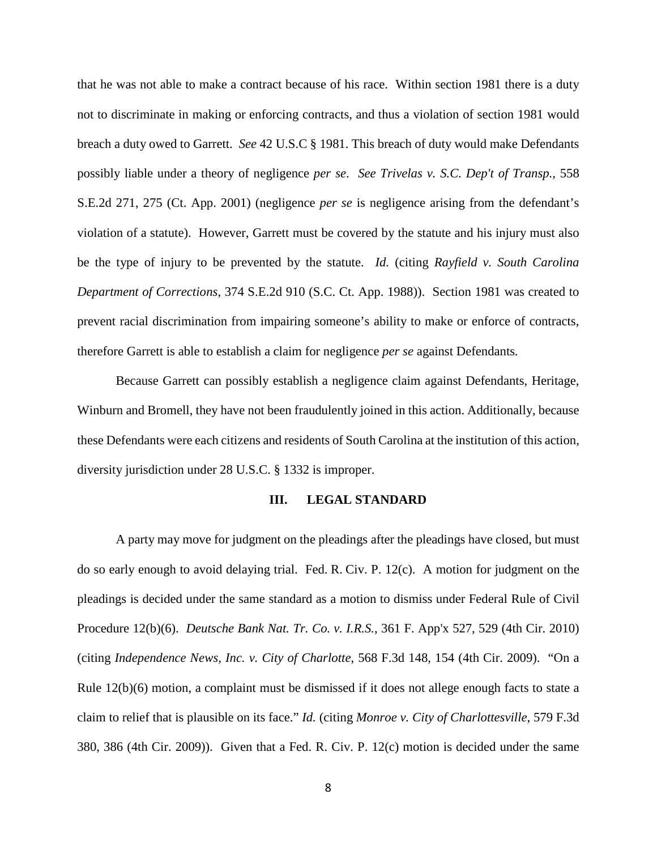that he was not able to make a contract because of his race. Within section 1981 there is a duty not to discriminate in making or enforcing contracts, and thus a violation of section 1981 would breach a duty owed to Garrett. *See* 42 U.S.C § 1981. This breach of duty would make Defendants possibly liable under a theory of negligence *per se*. *See Trivelas v. S.C. Dep't of Transp.,* 558 S.E.2d 271, 275 (Ct. App. 2001) (negligence *per se* is negligence arising from the defendant's violation of a statute). However, Garrett must be covered by the statute and his injury must also be the type of injury to be prevented by the statute. *Id.* (citing *Rayfield v. South Carolina Department of Corrections*, 374 S.E.2d 910 (S.C. Ct. App. 1988)). Section 1981 was created to prevent racial discrimination from impairing someone's ability to make or enforce of contracts, therefore Garrett is able to establish a claim for negligence *per se* against Defendants*.* 

Because Garrett can possibly establish a negligence claim against Defendants, Heritage, Winburn and Bromell, they have not been fraudulently joined in this action. Additionally, because these Defendants were each citizens and residents of South Carolina at the institution of this action, diversity jurisdiction under 28 U.S.C. § 1332 is improper.

### **III. LEGAL STANDARD**

A party may move for judgment on the pleadings after the pleadings have closed, but must do so early enough to avoid delaying trial. Fed. R. Civ. P. 12(c). A motion for judgment on the pleadings is decided under the same standard as a motion to dismiss under Federal Rule of Civil Procedure 12(b)(6). *Deutsche Bank Nat. Tr. Co. v. I.R.S.*, 361 F. App'x 527, 529 (4th Cir. 2010) (citing *Independence News, Inc. v. City of Charlotte*, 568 F.3d 148, 154 (4th Cir. 2009). "On a Rule 12(b)(6) motion, a complaint must be dismissed if it does not allege enough facts to state a claim to relief that is plausible on its face." *Id.* (citing *Monroe v. City of Charlottesville*, 579 F.3d 380, 386 (4th Cir. 2009)). Given that a Fed. R. Civ. P. 12(c) motion is decided under the same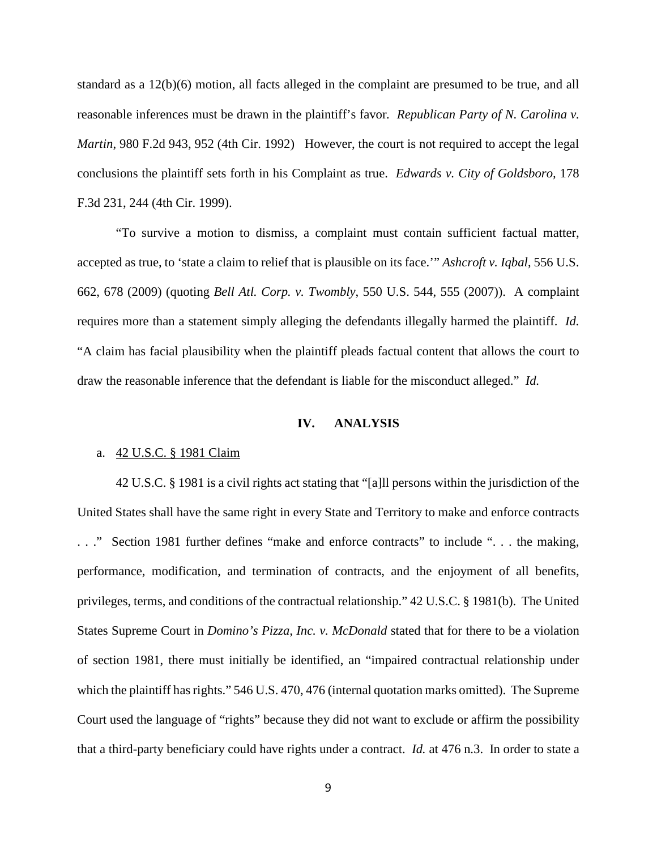standard as a 12(b)(6) motion, all facts alleged in the complaint are presumed to be true, and all reasonable inferences must be drawn in the plaintiff's favor*. Republican Party of N. Carolina v. Martin*, 980 F.2d 943, 952 (4th Cir. 1992) However, the court is not required to accept the legal conclusions the plaintiff sets forth in his Complaint as true. *Edwards v. City of Goldsboro,* 178 F.3d 231, 244 (4th Cir. 1999).

"To survive a motion to dismiss, a complaint must contain sufficient factual matter, accepted as true, to 'state a claim to relief that is plausible on its face.'" *Ashcroft v. Iqbal*, 556 U.S. 662, 678 (2009) (quoting *Bell Atl. Corp. v. Twombly*, 550 U.S. 544, 555 (2007)). A complaint requires more than a statement simply alleging the defendants illegally harmed the plaintiff. *Id.*  "A claim has facial plausibility when the plaintiff pleads factual content that allows the court to draw the reasonable inference that the defendant is liable for the misconduct alleged." *Id.*

#### **IV. ANALYSIS**

#### a. 42 U.S.C. § 1981 Claim

42 U.S.C. § 1981 is a civil rights act stating that "[a]ll persons within the jurisdiction of the United States shall have the same right in every State and Territory to make and enforce contracts . . ." Section 1981 further defines "make and enforce contracts" to include ". . . the making, performance, modification, and termination of contracts, and the enjoyment of all benefits, privileges, terms, and conditions of the contractual relationship." 42 U.S.C. § 1981(b). The United States Supreme Court in *Domino's Pizza, Inc. v. McDonald* stated that for there to be a violation of section 1981, there must initially be identified, an "impaired contractual relationship under which the plaintiff has rights." 546 U.S. 470, 476 (internal quotation marks omitted). The Supreme Court used the language of "rights" because they did not want to exclude or affirm the possibility that a third-party beneficiary could have rights under a contract. *Id.* at 476 n.3. In order to state a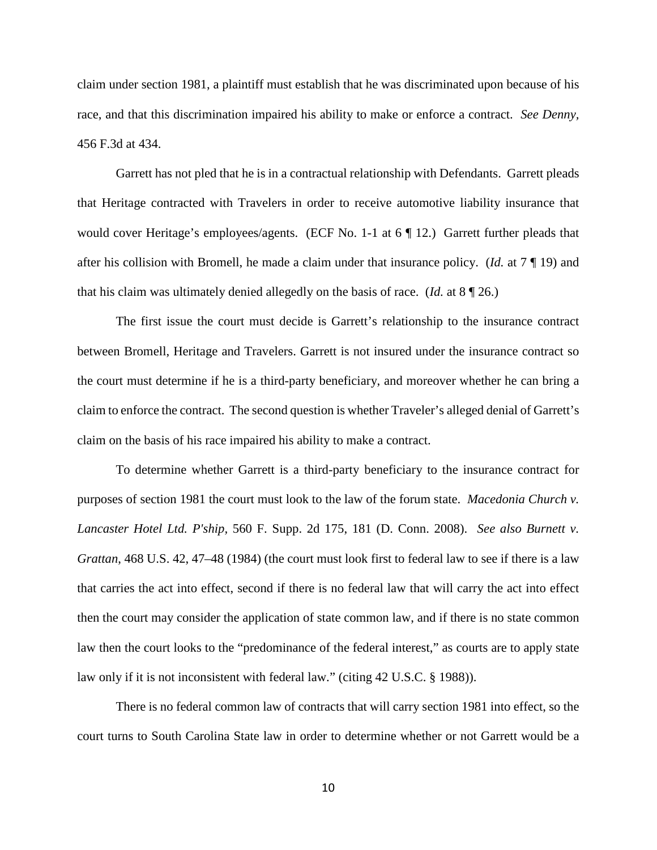claim under section 1981, a plaintiff must establish that he was discriminated upon because of his race, and that this discrimination impaired his ability to make or enforce a contract. *See Denny,*  456 F.3d at 434.

Garrett has not pled that he is in a contractual relationship with Defendants. Garrett pleads that Heritage contracted with Travelers in order to receive automotive liability insurance that would cover Heritage's employees/agents. (ECF No. 1-1 at 6 | 12.) Garrett further pleads that after his collision with Bromell, he made a claim under that insurance policy. (*Id.* at 7 ¶ 19) and that his claim was ultimately denied allegedly on the basis of race. (*Id.* at 8 ¶ 26.)

The first issue the court must decide is Garrett's relationship to the insurance contract between Bromell, Heritage and Travelers. Garrett is not insured under the insurance contract so the court must determine if he is a third-party beneficiary, and moreover whether he can bring a claim to enforce the contract. The second question is whether Traveler's alleged denial of Garrett's claim on the basis of his race impaired his ability to make a contract.

To determine whether Garrett is a third-party beneficiary to the insurance contract for purposes of section 1981 the court must look to the law of the forum state. *Macedonia Church v. Lancaster Hotel Ltd. P'ship,* 560 F. Supp. 2d 175, 181 (D. Conn. 2008). *See also Burnett v. Grattan*, 468 U.S. 42, 47–48 (1984) (the court must look first to federal law to see if there is a law that carries the act into effect, second if there is no federal law that will carry the act into effect then the court may consider the application of state common law, and if there is no state common law then the court looks to the "predominance of the federal interest," as courts are to apply state law only if it is not inconsistent with federal law." (citing 42 U.S.C. § 1988)).

There is no federal common law of contracts that will carry section 1981 into effect, so the court turns to South Carolina State law in order to determine whether or not Garrett would be a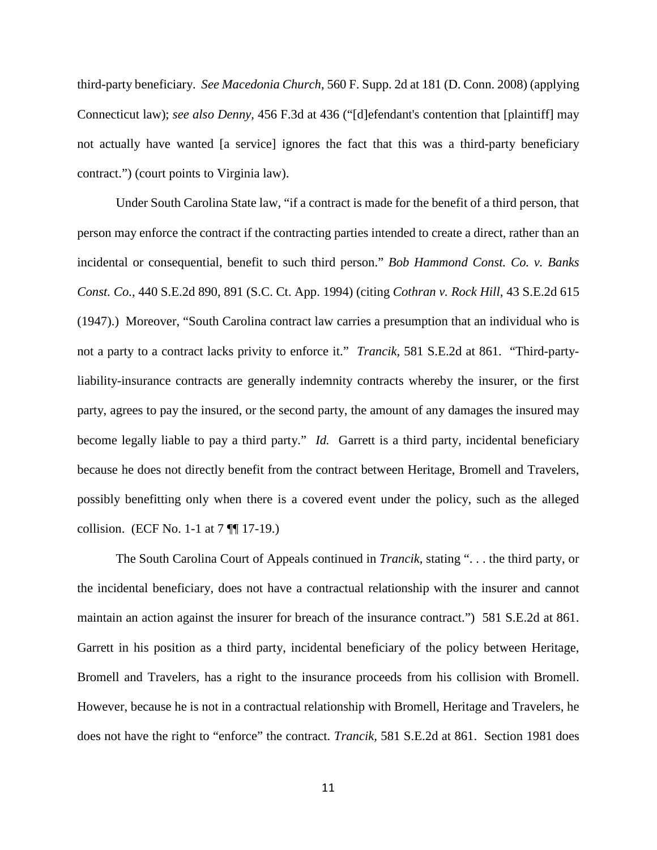third-party beneficiary. *See Macedonia Church,* 560 F. Supp. 2d at 181 (D. Conn. 2008) (applying Connecticut law); *see also Denny,* 456 F.3d at 436 ("[d]efendant's contention that [plaintiff] may not actually have wanted [a service] ignores the fact that this was a third-party beneficiary contract.") (court points to Virginia law).

Under South Carolina State law, "if a contract is made for the benefit of a third person, that person may enforce the contract if the contracting parties intended to create a direct, rather than an incidental or consequential, benefit to such third person." *Bob Hammond Const. Co. v. Banks Const. Co.*, 440 S.E.2d 890, 891 (S.C. Ct. App. 1994) (citing *Cothran v. Rock Hill*, 43 S.E.2d 615 (1947).) Moreover, "South Carolina contract law carries a presumption that an individual who is not a party to a contract lacks privity to enforce it." *Trancik,* 581 S.E.2d at 861. "Third-partyliability-insurance contracts are generally indemnity contracts whereby the insurer, or the first party, agrees to pay the insured, or the second party, the amount of any damages the insured may become legally liable to pay a third party." *Id.* Garrett is a third party, incidental beneficiary because he does not directly benefit from the contract between Heritage, Bromell and Travelers, possibly benefitting only when there is a covered event under the policy, such as the alleged collision. (ECF No. 1-1 at 7 ¶¶ 17-19.)

The South Carolina Court of Appeals continued in *Trancik*, stating ". . . the third party, or the incidental beneficiary, does not have a contractual relationship with the insurer and cannot maintain an action against the insurer for breach of the insurance contract.") 581 S.E.2d at 861. Garrett in his position as a third party, incidental beneficiary of the policy between Heritage, Bromell and Travelers, has a right to the insurance proceeds from his collision with Bromell. However, because he is not in a contractual relationship with Bromell, Heritage and Travelers, he does not have the right to "enforce" the contract. *Trancik,* 581 S.E.2d at 861. Section 1981 does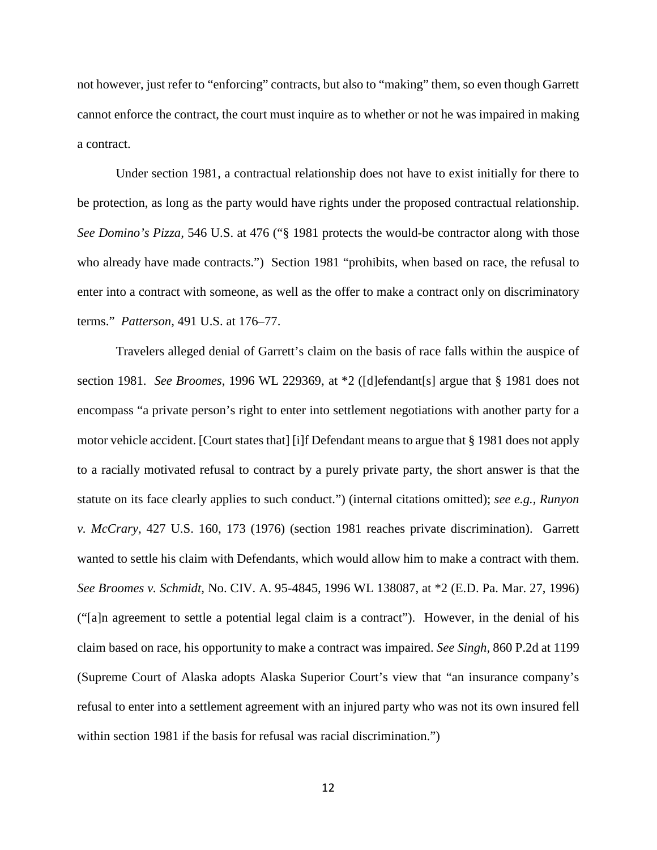not however, just refer to "enforcing" contracts, but also to "making" them, so even though Garrett cannot enforce the contract, the court must inquire as to whether or not he was impaired in making a contract.

Under section 1981, a contractual relationship does not have to exist initially for there to be protection, as long as the party would have rights under the proposed contractual relationship. *See Domino's Pizza,* 546 U.S. at 476 ("§ 1981 protects the would-be contractor along with those who already have made contracts.") Section 1981 "prohibits, when based on race, the refusal to enter into a contract with someone, as well as the offer to make a contract only on discriminatory terms." *Patterson,* 491 U.S. at 176–77.

Travelers alleged denial of Garrett's claim on the basis of race falls within the auspice of section 1981. *See Broomes*, 1996 WL 229369, at \*2 ([d]efendant[s] argue that § 1981 does not encompass "a private person's right to enter into settlement negotiations with another party for a motor vehicle accident. [Court states that] [i]f Defendant means to argue that § 1981 does not apply to a racially motivated refusal to contract by a purely private party, the short answer is that the statute on its face clearly applies to such conduct.") (internal citations omitted); *see e.g., Runyon v. McCrary,* 427 U.S. 160, 173 (1976) (section 1981 reaches private discrimination). Garrett wanted to settle his claim with Defendants, which would allow him to make a contract with them. *See Broomes v. Schmidt,* No. CIV. A. 95-4845, 1996 WL 138087, at \*2 (E.D. Pa. Mar. 27, 1996) ("[a]n agreement to settle a potential legal claim is a contract"). However, in the denial of his claim based on race, his opportunity to make a contract was impaired. *See Singh,* 860 P.2d at 1199 (Supreme Court of Alaska adopts Alaska Superior Court's view that "an insurance company's refusal to enter into a settlement agreement with an injured party who was not its own insured fell within section 1981 if the basis for refusal was racial discrimination.")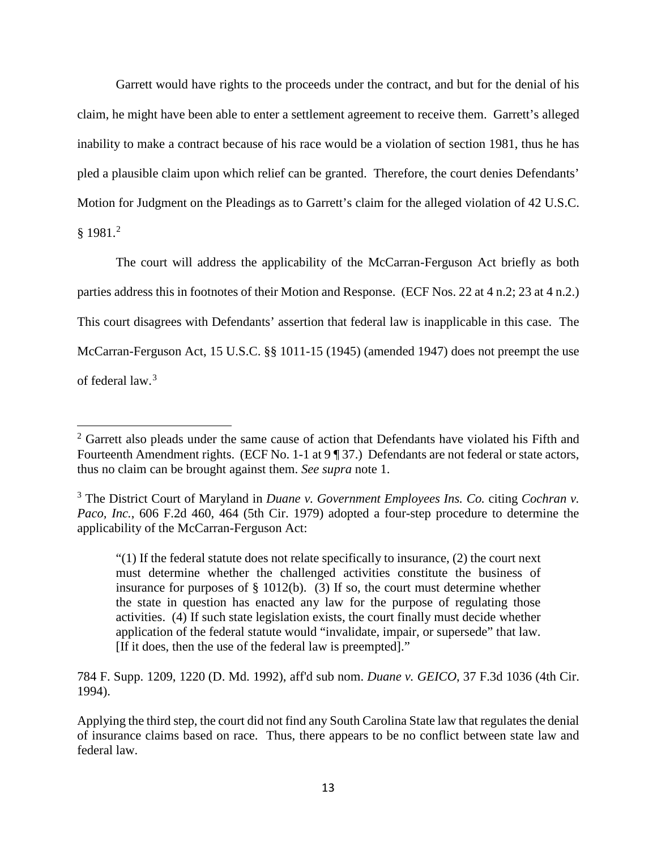Garrett would have rights to the proceeds under the contract, and but for the denial of his claim, he might have been able to enter a settlement agreement to receive them. Garrett's alleged inability to make a contract because of his race would be a violation of section 1981, thus he has pled a plausible claim upon which relief can be granted. Therefore, the court denies Defendants' Motion for Judgment on the Pleadings as to Garrett's claim for the alleged violation of 42 U.S.C.  $§ 1981.<sup>2</sup>$  $§ 1981.<sup>2</sup>$  $§ 1981.<sup>2</sup>$ 

The court will address the applicability of the McCarran-Ferguson Act briefly as both parties address this in footnotes of their Motion and Response. (ECF Nos. 22 at 4 n.2; 23 at 4 n.2.) This court disagrees with Defendants' assertion that federal law is inapplicable in this case. The McCarran-Ferguson Act, 15 U.S.C. §§ 1011-15 (1945) (amended 1947) does not preempt the use of federal law. [3](#page-12-1)

֬֒

784 F. Supp. 1209, 1220 (D. Md. 1992), aff'd sub nom. *Duane v. GEICO*, 37 F.3d 1036 (4th Cir. 1994).

<span id="page-12-0"></span><sup>&</sup>lt;sup>2</sup> Garrett also pleads under the same cause of action that Defendants have violated his Fifth and Fourteenth Amendment rights. (ECF No. 1-1 at 9 ¶ 37.) Defendants are not federal or state actors, thus no claim can be brought against them. *See supra* note 1.

<span id="page-12-1"></span><sup>3</sup> The District Court of Maryland in *Duane v. Government Employees Ins. Co.* citing *Cochran v. Paco, Inc.*, 606 F.2d 460, 464 (5th Cir. 1979) adopted a four-step procedure to determine the applicability of the McCarran-Ferguson Act:

<sup>&</sup>quot;(1) If the federal statute does not relate specifically to insurance, (2) the court next must determine whether the challenged activities constitute the business of insurance for purposes of  $\S$  1012(b). (3) If so, the court must determine whether the state in question has enacted any law for the purpose of regulating those activities. (4) If such state legislation exists, the court finally must decide whether application of the federal statute would "invalidate, impair, or supersede" that law. [If it does, then the use of the federal law is preempted]."

Applying the third step, the court did not find any South Carolina State law that regulates the denial of insurance claims based on race. Thus, there appears to be no conflict between state law and federal law.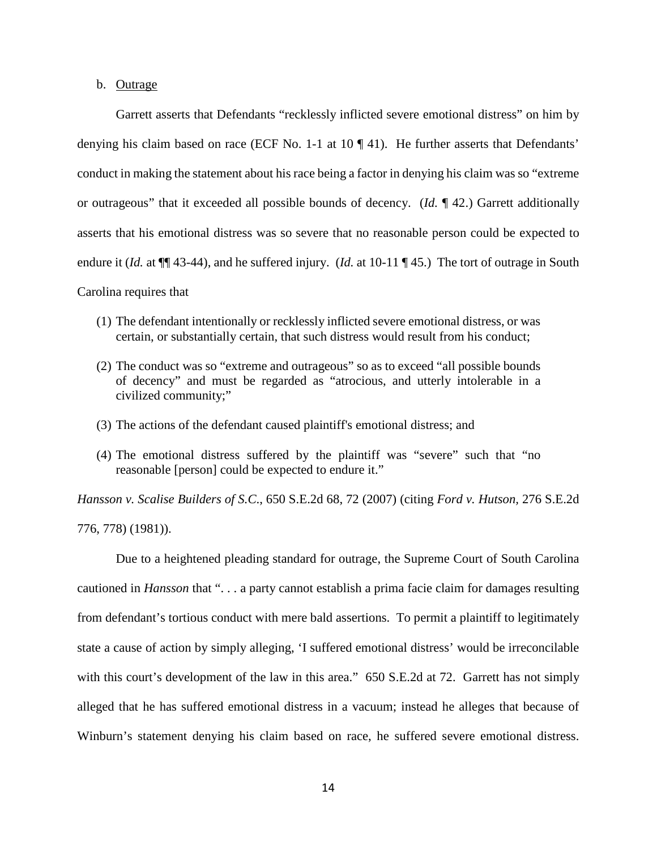### b. Outrage

Garrett asserts that Defendants "recklessly inflicted severe emotional distress" on him by denying his claim based on race (ECF No. 1-1 at 10 ¶ 41). He further asserts that Defendants' conduct in making the statement about his race being a factor in denying his claim was so "extreme or outrageous" that it exceeded all possible bounds of decency. (*Id.* ¶ 42.) Garrett additionally asserts that his emotional distress was so severe that no reasonable person could be expected to endure it (*Id.* at  $\P$  43-44), and he suffered injury. (*Id.* at 10-11  $\P$  45.) The tort of outrage in South Carolina requires that

- (1) The defendant intentionally or recklessly inflicted severe emotional distress, or was certain, or substantially certain, that such distress would result from his conduct;
- (2) The conduct was so "extreme and outrageous" so as to exceed "all possible bounds of decency" and must be regarded as "atrocious, and utterly intolerable in a civilized community;"
- (3) The actions of the defendant caused plaintiff's emotional distress; and
- (4) The emotional distress suffered by the plaintiff was "severe" such that "no reasonable [person] could be expected to endure it."

*Hansson v. Scalise Builders of S.C*., 650 S.E.2d 68, 72 (2007) (citing *Ford v. Hutson,* 276 S.E.2d 776, 778) (1981)).

Due to a heightened pleading standard for outrage, the Supreme Court of South Carolina cautioned in *Hansson* that ". . . a party cannot establish a prima facie claim for damages resulting from defendant's tortious conduct with mere bald assertions. To permit a plaintiff to legitimately state a cause of action by simply alleging, 'I suffered emotional distress' would be irreconcilable with this court's development of the law in this area." 650 S.E.2d at 72. Garrett has not simply alleged that he has suffered emotional distress in a vacuum; instead he alleges that because of Winburn's statement denying his claim based on race, he suffered severe emotional distress.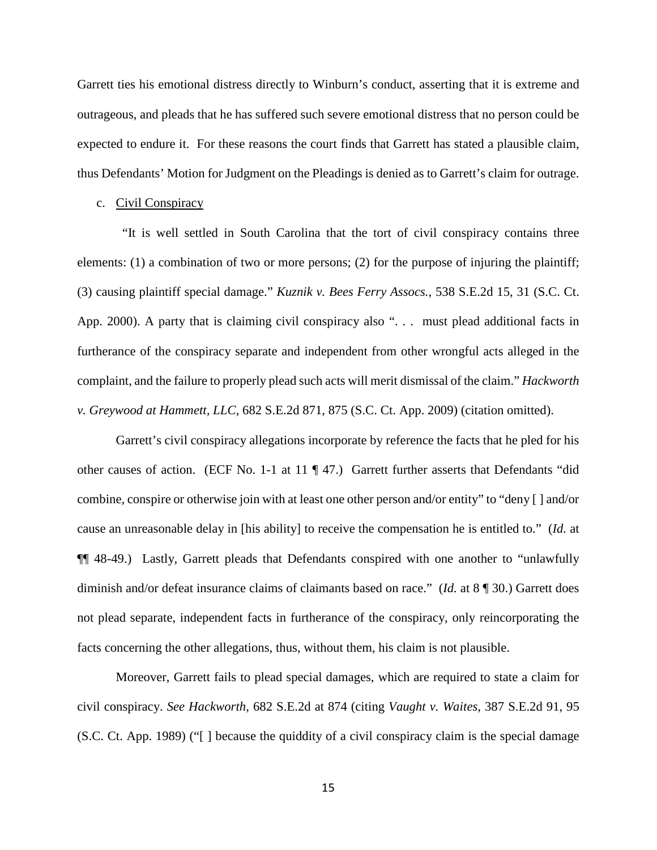Garrett ties his emotional distress directly to Winburn's conduct, asserting that it is extreme and outrageous, and pleads that he has suffered such severe emotional distress that no person could be expected to endure it. For these reasons the court finds that Garrett has stated a plausible claim, thus Defendants' Motion for Judgment on the Pleadings is denied as to Garrett's claim for outrage.

#### c. Civil Conspiracy

 "It is well settled in South Carolina that the tort of civil conspiracy contains three elements: (1) a combination of two or more persons; (2) for the purpose of injuring the plaintiff; (3) causing plaintiff special damage." *Kuznik v. Bees Ferry Assocs.,* 538 S.E.2d 15, 31 (S.C. Ct. App. 2000). A party that is claiming civil conspiracy also "... must plead additional facts in furtherance of the conspiracy separate and independent from other wrongful acts alleged in the complaint, and the failure to properly plead such acts will merit dismissal of the claim." *Hackworth v. Greywood at Hammett, LLC,* 682 S.E.2d 871, 875 (S.C. Ct. App. 2009) (citation omitted).

Garrett's civil conspiracy allegations incorporate by reference the facts that he pled for his other causes of action. (ECF No. 1-1 at 11  $\P$  47.) Garrett further asserts that Defendants "did combine, conspire or otherwise join with at least one other person and/or entity" to "deny [ ] and/or cause an unreasonable delay in [his ability] to receive the compensation he is entitled to." (*Id.* at ¶¶ 48-49.) Lastly, Garrett pleads that Defendants conspired with one another to "unlawfully diminish and/or defeat insurance claims of claimants based on race." (*Id.* at 8 ¶ 30.) Garrett does not plead separate, independent facts in furtherance of the conspiracy, only reincorporating the facts concerning the other allegations, thus, without them, his claim is not plausible.

 Moreover, Garrett fails to plead special damages, which are required to state a claim for civil conspiracy. *See Hackworth*, 682 S.E.2d at 874 (citing *Vaught v. Waites*, 387 S.E.2d 91, 95 (S.C. Ct. App. 1989) ("[ ] because the quiddity of a civil conspiracy claim is the special damage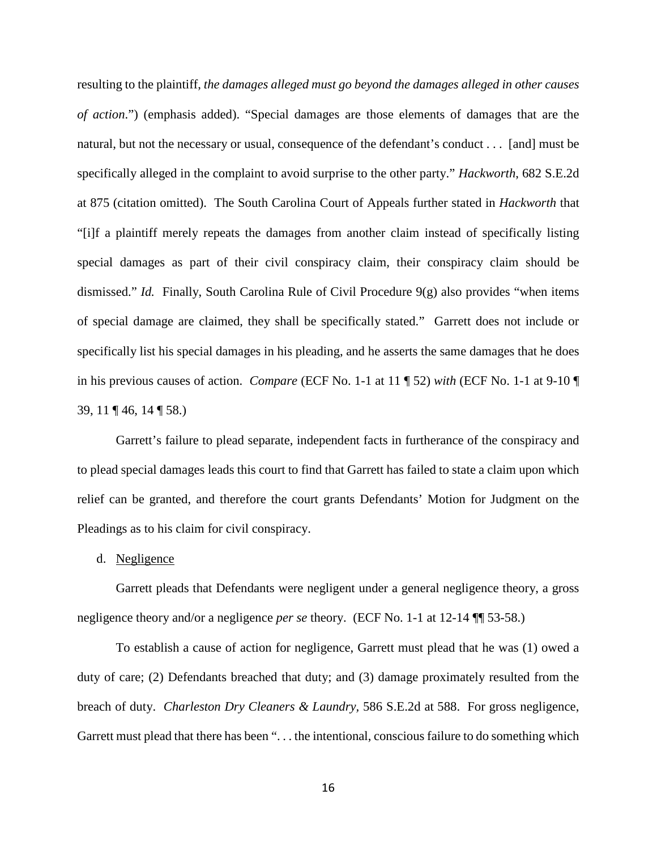resulting to the plaintiff, *the damages alleged must go beyond the damages alleged in other causes of action*.") (emphasis added). "Special damages are those elements of damages that are the natural, but not the necessary or usual, consequence of the defendant's conduct . . . [and] must be specifically alleged in the complaint to avoid surprise to the other party." *Hackworth*, 682 S.E.2d at 875 (citation omitted). The South Carolina Court of Appeals further stated in *Hackworth* that "[i]f a plaintiff merely repeats the damages from another claim instead of specifically listing special damages as part of their civil conspiracy claim, their conspiracy claim should be dismissed." *Id.* Finally, South Carolina Rule of Civil Procedure 9(g) also provides "when items of special damage are claimed, they shall be specifically stated." Garrett does not include or specifically list his special damages in his pleading, and he asserts the same damages that he does in his previous causes of action. *Compare* (ECF No. 1-1 at 11 ¶ 52) *with* (ECF No. 1-1 at 9-10 ¶ 39, 11 ¶ 46, 14 ¶ 58.)

Garrett's failure to plead separate, independent facts in furtherance of the conspiracy and to plead special damages leads this court to find that Garrett has failed to state a claim upon which relief can be granted, and therefore the court grants Defendants' Motion for Judgment on the Pleadings as to his claim for civil conspiracy.

#### d. Negligence

Garrett pleads that Defendants were negligent under a general negligence theory, a gross negligence theory and/or a negligence *per se* theory. (ECF No. 1-1 at 12-14 ¶¶ 53-58.)

To establish a cause of action for negligence, Garrett must plead that he was (1) owed a duty of care; (2) Defendants breached that duty; and (3) damage proximately resulted from the breach of duty. *Charleston Dry Cleaners & Laundry,* 586 S.E.2d at 588. For gross negligence, Garrett must plead that there has been ". . . the intentional, conscious failure to do something which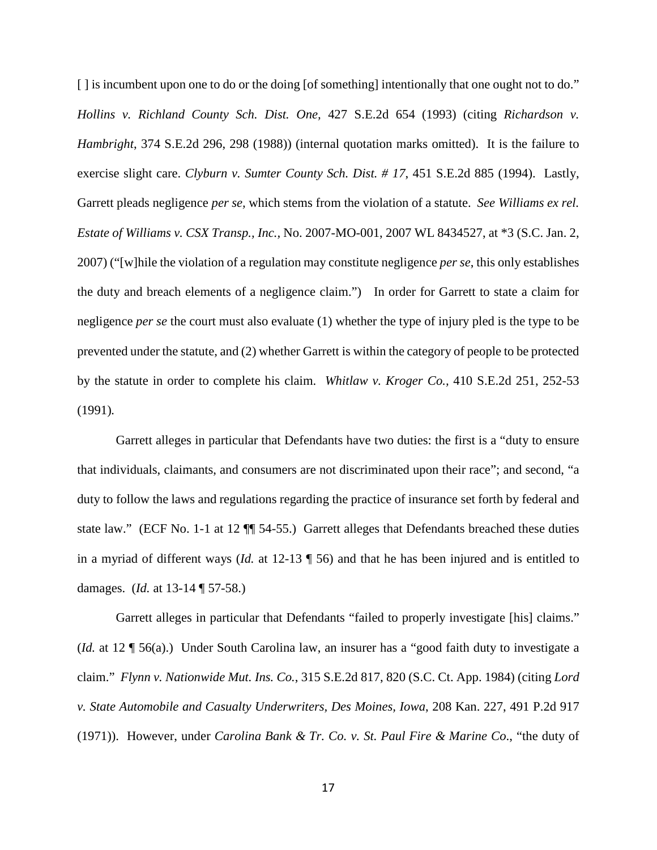[ ] is incumbent upon one to do or the doing [of something] intentionally that one ought not to do." *Hollins v. Richland County Sch. Dist. One,* 427 S.E.2d 654 (1993) (citing *Richardson v. Hambright*, 374 S.E.2d 296, 298 (1988)) (internal quotation marks omitted). It is the failure to exercise slight care. *Clyburn v. Sumter County Sch. Dist. # 17*, 451 S.E.2d 885 (1994). Lastly, Garrett pleads negligence *per se,* which stems from the violation of a statute. *See Williams ex rel. Estate of Williams v. CSX Transp., Inc.,* No. 2007-MO-001, 2007 WL 8434527, at \*3 (S.C. Jan. 2, 2007) ("[w]hile the violation of a regulation may constitute negligence *per se*, this only establishes the duty and breach elements of a negligence claim.") In order for Garrett to state a claim for negligence *per se* the court must also evaluate (1) whether the type of injury pled is the type to be prevented under the statute, and (2) whether Garrett is within the category of people to be protected by the statute in order to complete his claim. *Whitlaw v. Kroger Co.,* 410 S.E.2d 251, 252-53 (1991)*.* 

Garrett alleges in particular that Defendants have two duties: the first is a "duty to ensure that individuals, claimants, and consumers are not discriminated upon their race"; and second, "a duty to follow the laws and regulations regarding the practice of insurance set forth by federal and state law." (ECF No. 1-1 at 12 ¶¶ 54-55.) Garrett alleges that Defendants breached these duties in a myriad of different ways (*Id.* at 12-13 ¶ 56) and that he has been injured and is entitled to damages. (*Id.* at 13-14 ¶ 57-58.)

Garrett alleges in particular that Defendants "failed to properly investigate [his] claims." (*Id.* at 12 ¶ 56(a).) Under South Carolina law, an insurer has a "good faith duty to investigate a claim." *Flynn v. Nationwide Mut. Ins. Co.*, 315 S.E.2d 817, 820 (S.C. Ct. App. 1984) (citing *Lord v. State Automobile and Casualty Underwriters, Des Moines, Iowa*, 208 Kan. 227, 491 P.2d 917 (1971)). However, under *Carolina Bank & Tr. Co. v. St. Paul Fire & Marine Co*., "the duty of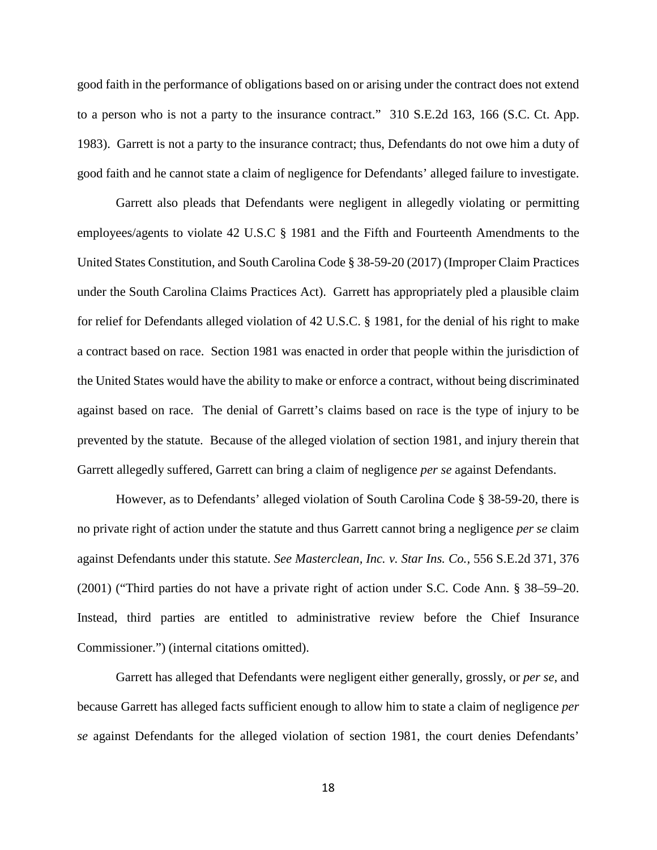good faith in the performance of obligations based on or arising under the contract does not extend to a person who is not a party to the insurance contract." 310 S.E.2d 163, 166 (S.C. Ct. App. 1983). Garrett is not a party to the insurance contract; thus, Defendants do not owe him a duty of good faith and he cannot state a claim of negligence for Defendants' alleged failure to investigate.

Garrett also pleads that Defendants were negligent in allegedly violating or permitting employees/agents to violate 42 U.S.C § 1981 and the Fifth and Fourteenth Amendments to the United States Constitution, and South Carolina Code § 38-59-20 (2017) (Improper Claim Practices under the South Carolina Claims Practices Act). Garrett has appropriately pled a plausible claim for relief for Defendants alleged violation of 42 U.S.C. § 1981, for the denial of his right to make a contract based on race. Section 1981 was enacted in order that people within the jurisdiction of the United States would have the ability to make or enforce a contract, without being discriminated against based on race. The denial of Garrett's claims based on race is the type of injury to be prevented by the statute. Because of the alleged violation of section 1981, and injury therein that Garrett allegedly suffered, Garrett can bring a claim of negligence *per se* against Defendants.

However, as to Defendants' alleged violation of South Carolina Code § 38-59-20, there is no private right of action under the statute and thus Garrett cannot bring a negligence *per se* claim against Defendants under this statute. *See Masterclean, Inc. v. Star Ins. Co.,* 556 S.E.2d 371, 376 (2001) ("Third parties do not have a private right of action under S.C. Code Ann. § 38–59–20. Instead, third parties are entitled to administrative review before the Chief Insurance Commissioner.") (internal citations omitted).

Garrett has alleged that Defendants were negligent either generally, grossly, or *per se*, and because Garrett has alleged facts sufficient enough to allow him to state a claim of negligence *per se* against Defendants for the alleged violation of section 1981, the court denies Defendants'